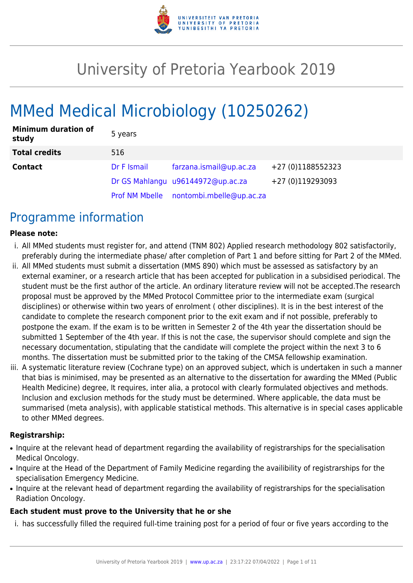

# University of Pretoria Yearbook 2019

# MMed Medical Microbiology (10250262)

| <b>Minimum duration of</b><br>study | 5 years     |                                         |                   |
|-------------------------------------|-------------|-----------------------------------------|-------------------|
| <b>Total credits</b>                | 516         |                                         |                   |
| <b>Contact</b>                      | Dr F Ismail | farzana.ismail@up.ac.za                 | +27 (0)1188552323 |
|                                     |             | Dr GS Mahlangu u96144972@up.ac.za       | +27 (0)119293093  |
|                                     |             | Prof NM Mbelle nontombi.mbelle@up.ac.za |                   |

## Programme information

#### **Please note:**

- i. All MMed students must register for, and attend (TNM 802) Applied research methodology 802 satisfactorily, preferably during the intermediate phase/ after completion of Part 1 and before sitting for Part 2 of the MMed.
- ii. All MMed students must submit a dissertation (MMS 890) which must be assessed as satisfactory by an external examiner, or a research article that has been accepted for publication in a subsidised periodical. The student must be the first author of the article. An ordinary literature review will not be accepted.The research proposal must be approved by the MMed Protocol Committee prior to the intermediate exam (surgical disciplines) or otherwise within two years of enrolment ( other disciplines). It is in the best interest of the candidate to complete the research component prior to the exit exam and if not possible, preferably to postpone the exam. If the exam is to be written in Semester 2 of the 4th year the dissertation should be submitted 1 September of the 4th year. If this is not the case, the supervisor should complete and sign the necessary documentation, stipulating that the candidate will complete the project within the next 3 to 6 months. The dissertation must be submitted prior to the taking of the CMSA fellowship examination.
- iii. A systematic literature review (Cochrane type) on an approved subject, which is undertaken in such a manner that bias is minimised, may be presented as an alternative to the dissertation for awarding the MMed (Public Health Medicine) degree, It requires, inter alia, a protocol with clearly formulated objectives and methods. Inclusion and exclusion methods for the study must be determined. Where applicable, the data must be summarised (meta analysis), with applicable statistical methods. This alternative is in special cases applicable to other MMed degrees.

#### **Registrarship:**

- Inquire at the relevant head of department regarding the availability of registrarships for the specialisation Medical Oncology.
- Inquire at the Head of the Department of Family Medicine regarding the availibility of registrarships for the specialisation Emergency Medicine.
- Inquire at the relevant head of department regarding the availability of registrarships for the specialisation Radiation Oncology.

#### **Each student must prove to the University that he or she**

i. has successfully filled the required full-time training post for a period of four or five years according to the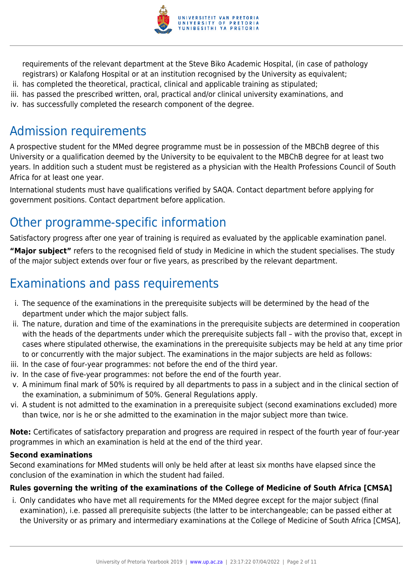

requirements of the relevant department at the Steve Biko Academic Hospital, (in case of pathology registrars) or Kalafong Hospital or at an institution recognised by the University as equivalent;

- ii. has completed the theoretical, practical, clinical and applicable training as stipulated;
- iii. has passed the prescribed written, oral, practical and/or clinical university examinations, and
- iv. has successfully completed the research component of the degree.

## Admission requirements

A prospective student for the MMed degree programme must be in possession of the MBChB degree of this University or a qualification deemed by the University to be equivalent to the MBChB degree for at least two years. In addition such a student must be registered as a physician with the Health Professions Council of South Africa for at least one year.

International students must have qualifications verified by SAQA. Contact department before applying for government positions. Contact department before application.

## Other programme-specific information

Satisfactory progress after one year of training is required as evaluated by the applicable examination panel.

**"Major subject"** refers to the recognised field of study in Medicine in which the student specialises. The study of the major subject extends over four or five years, as prescribed by the relevant department.

## Examinations and pass requirements

- i. The sequence of the examinations in the prerequisite subjects will be determined by the head of the department under which the major subject falls.
- ii. The nature, duration and time of the examinations in the prerequisite subjects are determined in cooperation with the heads of the departments under which the prerequisite subjects fall – with the proviso that, except in cases where stipulated otherwise, the examinations in the prerequisite subjects may be held at any time prior to or concurrently with the major subject. The examinations in the major subjects are held as follows:
- iii. In the case of four-year programmes: not before the end of the third year.
- iv. In the case of five-year programmes: not before the end of the fourth year.
- v. A minimum final mark of 50% is required by all departments to pass in a subject and in the clinical section of the examination, a subminimum of 50%. General Regulations apply.
- vi. A student is not admitted to the examination in a prerequisite subject (second examinations excluded) more than twice, nor is he or she admitted to the examination in the major subject more than twice.

**Note:** Certificates of satisfactory preparation and progress are required in respect of the fourth year of four-year programmes in which an examination is held at the end of the third year.

#### **Second examinations**

Second examinations for MMed students will only be held after at least six months have elapsed since the conclusion of the examination in which the student had failed.

#### **Rules governing the writing of the examinations of the College of Medicine of South Africa [CMSA]**

i. Only candidates who have met all requirements for the MMed degree except for the major subject (final examination), i.e. passed all prerequisite subjects (the latter to be interchangeable; can be passed either at the University or as primary and intermediary examinations at the College of Medicine of South Africa [CMSA],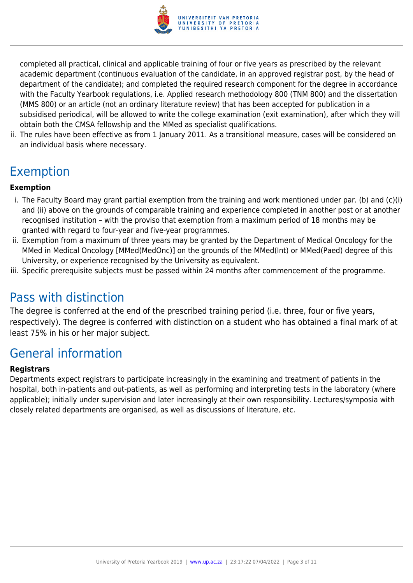

completed all practical, clinical and applicable training of four or five years as prescribed by the relevant academic department (continuous evaluation of the candidate, in an approved registrar post, by the head of department of the candidate); and completed the required research component for the degree in accordance with the Faculty Yearbook regulations, i.e. Applied research methodology 800 (TNM 800) and the dissertation (MMS 800) or an article (not an ordinary literature review) that has been accepted for publication in a subsidised periodical, will be allowed to write the college examination (exit examination), after which they will obtain both the CMSA fellowship and the MMed as specialist qualifications.

ii. The rules have been effective as from 1 January 2011. As a transitional measure, cases will be considered on an individual basis where necessary.

## Exemption

#### **Exemption**

- i. The Faculty Board may grant partial exemption from the training and work mentioned under par. (b) and (c)(i) and (ii) above on the grounds of comparable training and experience completed in another post or at another recognised institution – with the proviso that exemption from a maximum period of 18 months may be granted with regard to four-year and five-year programmes.
- ii. Exemption from a maximum of three years may be granted by the Department of Medical Oncology for the MMed in Medical Oncology [MMed(MedOnc)] on the grounds of the MMed(Int) or MMed(Paed) degree of this University, or experience recognised by the University as equivalent.
- iii. Specific prerequisite subjects must be passed within 24 months after commencement of the programme.

## Pass with distinction

The degree is conferred at the end of the prescribed training period (i.e. three, four or five years, respectively). The degree is conferred with distinction on a student who has obtained a final mark of at least 75% in his or her major subject.

## General information

#### **Registrars**

Departments expect registrars to participate increasingly in the examining and treatment of patients in the hospital, both in-patients and out-patients, as well as performing and interpreting tests in the laboratory (where applicable); initially under supervision and later increasingly at their own responsibility. Lectures/symposia with closely related departments are organised, as well as discussions of literature, etc.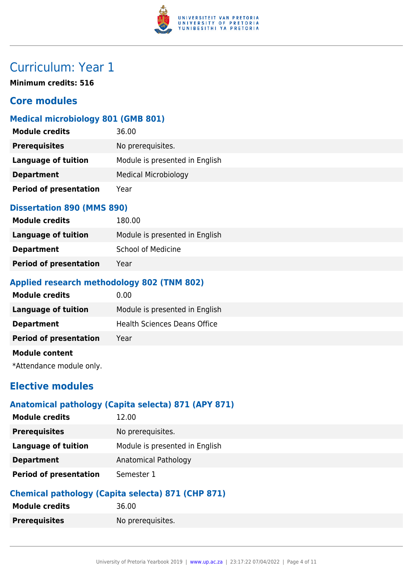

**Minimum credits: 516**

## **Core modules**

#### **Medical microbiology 801 (GMB 801)**

| <b>Module credits</b>         | 36.00                          |
|-------------------------------|--------------------------------|
| <b>Prerequisites</b>          | No prerequisites.              |
| Language of tuition           | Module is presented in English |
| <b>Department</b>             | <b>Medical Microbiology</b>    |
| <b>Period of presentation</b> | Year                           |

#### **Dissertation 890 (MMS 890)**

| <b>Module credits</b>         | 180.00                         |
|-------------------------------|--------------------------------|
| Language of tuition           | Module is presented in English |
| <b>Department</b>             | <b>School of Medicine</b>      |
| <b>Period of presentation</b> | Year                           |

#### **Applied research methodology 802 (TNM 802)**

| <b>Module credits</b>         | 0.00                                |
|-------------------------------|-------------------------------------|
| Language of tuition           | Module is presented in English      |
| <b>Department</b>             | <b>Health Sciences Deans Office</b> |
| <b>Period of presentation</b> | Year                                |
| <b>Module content</b>         |                                     |
| *Attendance module only.      |                                     |

## **Elective modules**

#### **Anatomical pathology (Capita selecta) 871 (APY 871)**

| <b>Module credits</b>         | 12.00                          |
|-------------------------------|--------------------------------|
| <b>Prerequisites</b>          | No prerequisites.              |
| <b>Language of tuition</b>    | Module is presented in English |
| <b>Department</b>             | Anatomical Pathology           |
| <b>Period of presentation</b> | Semester 1                     |

### **Chemical pathology (Capita selecta) 871 (CHP 871)**

| Module credits       | 36.00             |
|----------------------|-------------------|
| <b>Prerequisites</b> | No prerequisites. |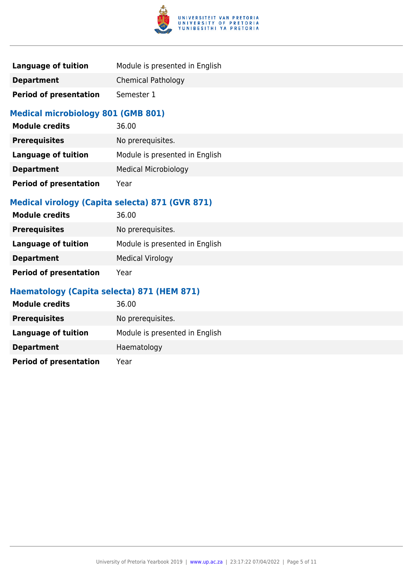

| Language of tuition           | Module is presented in English |
|-------------------------------|--------------------------------|
| <b>Department</b>             | <b>Chemical Pathology</b>      |
| <b>Period of presentation</b> | Semester 1                     |

### **Medical microbiology 801 (GMB 801)**

| <b>Module credits</b>         | 36.00                          |
|-------------------------------|--------------------------------|
| <b>Prerequisites</b>          | No prerequisites.              |
| <b>Language of tuition</b>    | Module is presented in English |
| <b>Department</b>             | <b>Medical Microbiology</b>    |
| <b>Period of presentation</b> | Year                           |

## **Medical virology (Capita selecta) 871 (GVR 871)**

| <b>Module credits</b>         | 36.00                          |
|-------------------------------|--------------------------------|
| <b>Prerequisites</b>          | No prerequisites.              |
| Language of tuition           | Module is presented in English |
| <b>Department</b>             | <b>Medical Virology</b>        |
| <b>Period of presentation</b> | Year                           |

### **Haematology (Capita selecta) 871 (HEM 871)**

| <b>Module credits</b>         | 36.00                          |
|-------------------------------|--------------------------------|
| <b>Prerequisites</b>          | No prerequisites.              |
| Language of tuition           | Module is presented in English |
| <b>Department</b>             | Haematology                    |
| <b>Period of presentation</b> | Year                           |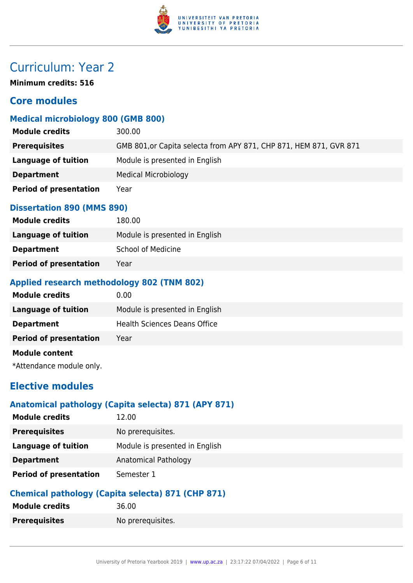

**Minimum credits: 516**

## **Core modules**

## **Medical microbiology 800 (GMB 800)**

| <b>Module credits</b>         | 300.00                                                             |
|-------------------------------|--------------------------------------------------------------------|
| <b>Prerequisites</b>          | GMB 801, or Capita selecta from APY 871, CHP 871, HEM 871, GVR 871 |
| Language of tuition           | Module is presented in English                                     |
| <b>Department</b>             | <b>Medical Microbiology</b>                                        |
| <b>Period of presentation</b> | Year                                                               |

#### **Dissertation 890 (MMS 890)**

| <b>Module credits</b>         | 180.00                         |
|-------------------------------|--------------------------------|
| Language of tuition           | Module is presented in English |
| <b>Department</b>             | School of Medicine             |
| <b>Period of presentation</b> | Year                           |

#### **Applied research methodology 802 (TNM 802)**

| <b>Module credits</b>         | 0.00                                |
|-------------------------------|-------------------------------------|
| <b>Language of tuition</b>    | Module is presented in English      |
| <b>Department</b>             | <b>Health Sciences Deans Office</b> |
| <b>Period of presentation</b> | Year                                |
| <b>Module content</b>         |                                     |
| *Attendance module only.      |                                     |

## **Elective modules**

#### **Anatomical pathology (Capita selecta) 871 (APY 871)**

| <b>Module credits</b>         | 12.00                          |
|-------------------------------|--------------------------------|
| <b>Prerequisites</b>          | No prerequisites.              |
| Language of tuition           | Module is presented in English |
| <b>Department</b>             | Anatomical Pathology           |
| <b>Period of presentation</b> | Semester 1                     |

### **Chemical pathology (Capita selecta) 871 (CHP 871)**

| Module credits       | 36.00             |
|----------------------|-------------------|
| <b>Prerequisites</b> | No prerequisites. |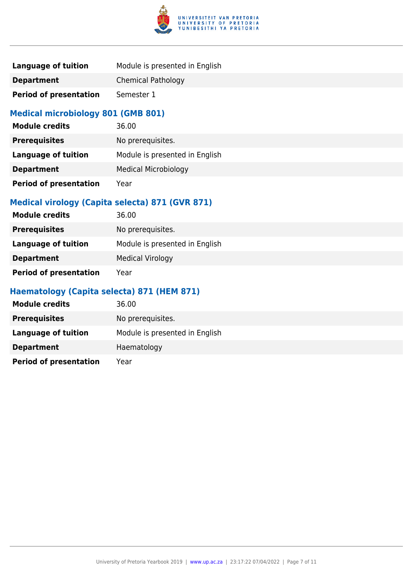

| Language of tuition           | Module is presented in English |
|-------------------------------|--------------------------------|
| <b>Department</b>             | <b>Chemical Pathology</b>      |
| <b>Period of presentation</b> | Semester 1                     |

### **Medical microbiology 801 (GMB 801)**

| <b>Module credits</b>         | 36.00                          |
|-------------------------------|--------------------------------|
| <b>Prerequisites</b>          | No prerequisites.              |
| <b>Language of tuition</b>    | Module is presented in English |
| <b>Department</b>             | <b>Medical Microbiology</b>    |
| <b>Period of presentation</b> | Year                           |

## **Medical virology (Capita selecta) 871 (GVR 871)**

| <b>Module credits</b>         | 36.00                          |
|-------------------------------|--------------------------------|
| <b>Prerequisites</b>          | No prerequisites.              |
| Language of tuition           | Module is presented in English |
| <b>Department</b>             | <b>Medical Virology</b>        |
| <b>Period of presentation</b> | Year                           |

### **Haematology (Capita selecta) 871 (HEM 871)**

| <b>Module credits</b>         | 36.00                          |
|-------------------------------|--------------------------------|
| <b>Prerequisites</b>          | No prerequisites.              |
| Language of tuition           | Module is presented in English |
| <b>Department</b>             | Haematology                    |
| <b>Period of presentation</b> | Year                           |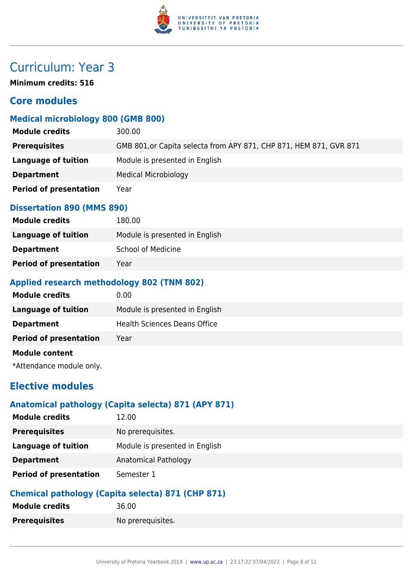

**Minimum credits: 516**

## **Core modules**

#### **Medical microbiology 800 (GMB 800)**

| <b>Module credits</b>         | 300.00                                                             |
|-------------------------------|--------------------------------------------------------------------|
| <b>Prerequisites</b>          | GMB 801, or Capita selecta from APY 871, CHP 871, HEM 871, GVR 871 |
| Language of tuition           | Module is presented in English                                     |
| <b>Department</b>             | <b>Medical Microbiology</b>                                        |
| <b>Period of presentation</b> | Year                                                               |

#### **Dissertation 890 (MMS 890)**

| <b>Module credits</b>         | 180.00                         |
|-------------------------------|--------------------------------|
| Language of tuition           | Module is presented in English |
| <b>Department</b>             | <b>School of Medicine</b>      |
| <b>Period of presentation</b> | Year                           |

#### **Applied research methodology 802 (TNM 802)**

| <b>Module credits</b>         | 0.00                                |
|-------------------------------|-------------------------------------|
| <b>Language of tuition</b>    | Module is presented in English      |
| <b>Department</b>             | <b>Health Sciences Deans Office</b> |
| <b>Period of presentation</b> | Year                                |
| <b>Module content</b>         |                                     |
| *Attendance module only.      |                                     |

## **Elective modules**

#### **Anatomical pathology (Capita selecta) 871 (APY 871)**

| <b>Module credits</b>         | 12.00                          |
|-------------------------------|--------------------------------|
| <b>Prerequisites</b>          | No prerequisites.              |
| <b>Language of tuition</b>    | Module is presented in English |
| <b>Department</b>             | Anatomical Pathology           |
| <b>Period of presentation</b> | Semester 1                     |

### **Chemical pathology (Capita selecta) 871 (CHP 871)**

| <b>Module credits</b> | 36.00             |
|-----------------------|-------------------|
| <b>Prerequisites</b>  | No prerequisites. |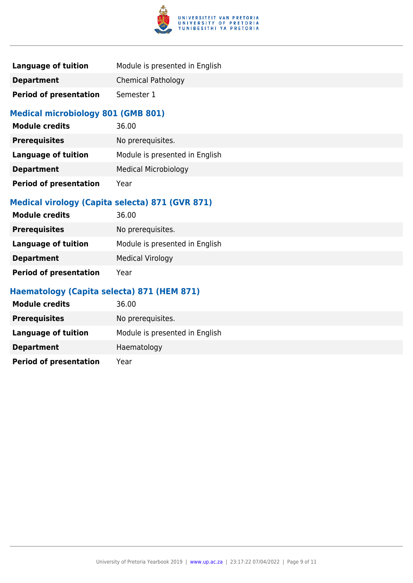

| Language of tuition           | Module is presented in English |
|-------------------------------|--------------------------------|
| <b>Department</b>             | <b>Chemical Pathology</b>      |
| <b>Period of presentation</b> | Semester 1                     |

### **Medical microbiology 801 (GMB 801)**

| <b>Module credits</b>         | 36.00                          |
|-------------------------------|--------------------------------|
| <b>Prerequisites</b>          | No prerequisites.              |
| <b>Language of tuition</b>    | Module is presented in English |
| <b>Department</b>             | <b>Medical Microbiology</b>    |
| <b>Period of presentation</b> | Year                           |

## **Medical virology (Capita selecta) 871 (GVR 871)**

| <b>Module credits</b>         | 36.00                          |
|-------------------------------|--------------------------------|
| <b>Prerequisites</b>          | No prerequisites.              |
| Language of tuition           | Module is presented in English |
| <b>Department</b>             | <b>Medical Virology</b>        |
| <b>Period of presentation</b> | Year                           |

### **Haematology (Capita selecta) 871 (HEM 871)**

| <b>Module credits</b>         | 36.00                          |
|-------------------------------|--------------------------------|
| <b>Prerequisites</b>          | No prerequisites.              |
| Language of tuition           | Module is presented in English |
| <b>Department</b>             | Haematology                    |
| <b>Period of presentation</b> | Year                           |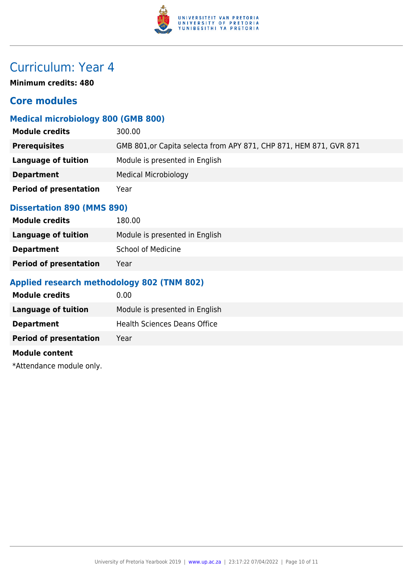

**Minimum credits: 480**

## **Core modules**

#### **Medical microbiology 800 (GMB 800)**

| <b>Module credits</b>         | 300.00                                                             |
|-------------------------------|--------------------------------------------------------------------|
| <b>Prerequisites</b>          | GMB 801, or Capita selecta from APY 871, CHP 871, HEM 871, GVR 871 |
| Language of tuition           | Module is presented in English                                     |
| <b>Department</b>             | <b>Medical Microbiology</b>                                        |
| <b>Period of presentation</b> | Year                                                               |

#### **Dissertation 890 (MMS 890)**

| <b>Module credits</b>         | 180.00                         |
|-------------------------------|--------------------------------|
| Language of tuition           | Module is presented in English |
| <b>Department</b>             | <b>School of Medicine</b>      |
| <b>Period of presentation</b> | Year                           |

### **Applied research methodology 802 (TNM 802)**

| <b>Module credits</b>         | 0.00                                |
|-------------------------------|-------------------------------------|
| <b>Language of tuition</b>    | Module is presented in English      |
| <b>Department</b>             | <b>Health Sciences Deans Office</b> |
| <b>Period of presentation</b> | Year                                |
| <b>Module content</b>         |                                     |

\*Attendance module only.